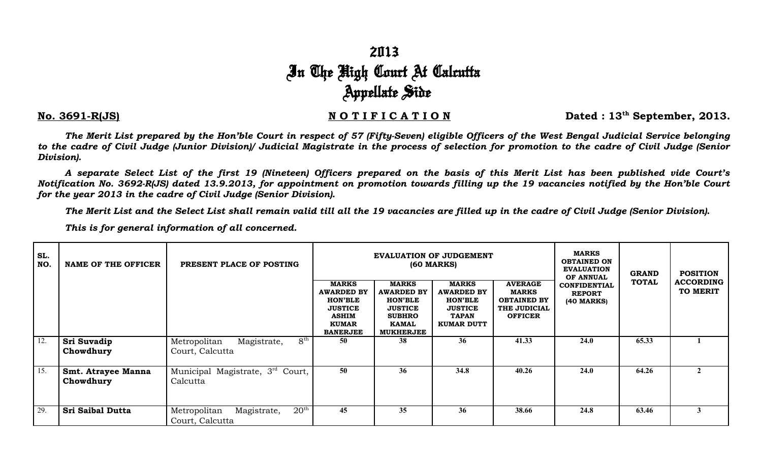## 2013 In The High Court At Calcutta Appellate Side

## No. 3691-R(JS) NOTIFICATION Dated : 13<sup>th</sup> September, 2013.

*The Merit List prepared by the Hon'ble Court in respect of 57 (Fifty-Seven) eligible Officers of the West Bengal Judicial Service belonging to the cadre of Civil Judge (Junior Division)/ Judicial Magistrate in the process of selection for promotion to the cadre of Civil Judge (Senior Division).*

*A separate Select List of the first 19 (Nineteen) Officers prepared on the basis of this Merit List has been published vide Court's Notification No. 3692-R(JS) dated 13.9.2013, for appointment on promotion towards filling up the 19 vacancies notified by the Hon'ble Court for the year 2013 in the cadre of Civil Judge (Senior Division).*

*The Merit List and the Select List shall remain valid till all the 19 vacancies are filled up in the cadre of Civil Judge (Senior Division).*

*This is for general information of all concerned.*

| SL.<br>NO. | <b>NAME OF THE OFFICER</b>      | PRESENT PLACE OF POSTING                                        |                                                                                                                          |                                                                                                                            | EVALUATION OF JUDGEMENT<br><b>(60 MARKS)</b>                                                               | <b>MARKS</b><br><b>OBTAINED ON</b><br><b>EVALUATION</b><br>OF ANNUAL                   | <b>GRAND</b>                                         | <b>POSITION</b> |                              |
|------------|---------------------------------|-----------------------------------------------------------------|--------------------------------------------------------------------------------------------------------------------------|----------------------------------------------------------------------------------------------------------------------------|------------------------------------------------------------------------------------------------------------|----------------------------------------------------------------------------------------|------------------------------------------------------|-----------------|------------------------------|
|            |                                 |                                                                 | <b>MARKS</b><br><b>AWARDED BY</b><br><b>HON'BLE</b><br><b>JUSTICE</b><br><b>ASHIM</b><br><b>KUMAR</b><br><b>BANERJEE</b> | <b>MARKS</b><br><b>AWARDED BY</b><br><b>HON'BLE</b><br><b>JUSTICE</b><br><b>SUBHRO</b><br><b>KAMAL</b><br><b>MUKHERJEE</b> | <b>MARKS</b><br><b>AWARDED BY</b><br><b>HON'BLE</b><br><b>JUSTICE</b><br><b>TAPAN</b><br><b>KUMAR DUTT</b> | <b>AVERAGE</b><br><b>MARKS</b><br><b>OBTAINED BY</b><br>THE JUDICIAL<br><b>OFFICER</b> | <b>CONFIDENTIAL</b><br><b>REPORT</b><br>$(40$ MARKS) | <b>TOTAL</b>    | <b>ACCORDING</b><br>TO MERIT |
| 12.        | Sri Suvadip<br>Chowdhury        | $8^{\rm th}$<br>Metropolitan<br>Magistrate,<br>Court, Calcutta  | 50                                                                                                                       | 38                                                                                                                         | 36                                                                                                         | 41.33                                                                                  | 24.0                                                 | 65.33           |                              |
| 15.        | Smt. Atrayee Manna<br>Chowdhury | Municipal Magistrate, 3 <sup>rd</sup> Court,<br>Calcutta        | 50                                                                                                                       | 36                                                                                                                         | 34.8                                                                                                       | 40.26                                                                                  | 24.0                                                 | 64.26           |                              |
| 29.        | <b>Sri Saibal Dutta</b>         | $20^{\rm th}$<br>Metropolitan<br>Magistrate,<br>Court, Calcutta | 45                                                                                                                       | 35                                                                                                                         | 36                                                                                                         | 38.66                                                                                  | 24.8                                                 | 63.46           | $\mathbf{3}$                 |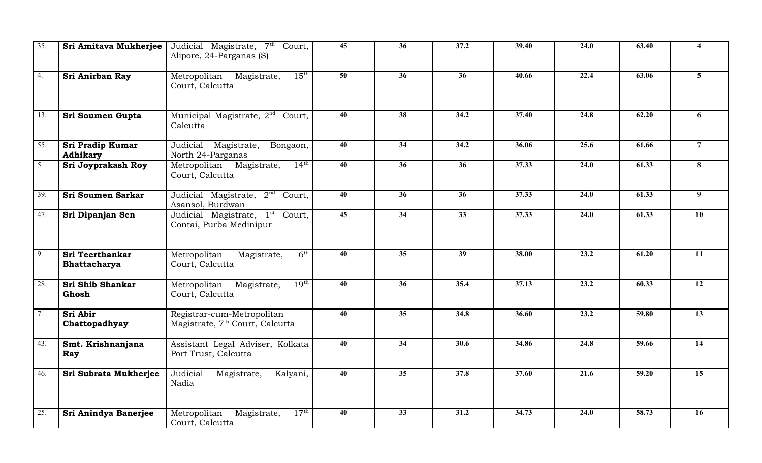| 35.              | Sri Amitava Mukherjee           | Judicial Magistrate, 7 <sup>th</sup> Court,<br>Alipore, 24-Parganas (S)   | 45              | 36              | 37.2            | 39.40 | 24.0 | 63.40 | 4                |
|------------------|---------------------------------|---------------------------------------------------------------------------|-----------------|-----------------|-----------------|-------|------|-------|------------------|
| 4.               | Sri Anirban Ray                 | $15^{\text{th}}$<br>Metropolitan Magistrate,<br>Court, Calcutta           | $\overline{50}$ | $\overline{36}$ | $\overline{36}$ | 40.66 | 22.4 | 63.06 | 5 <sup>5</sup>   |
| 13.              | Sri Soumen Gupta                | Municipal Magistrate, 2 <sup>nd</sup> Court,<br>Calcutta                  | 40              | 38              | 34.2            | 37.40 | 24.8 | 62.20 | 6                |
| 55.              | Sri Pradip Kumar<br>Adhikary    | Judicial Magistrate,<br>Bongaon,<br>North 24-Parganas                     | 40              | 34              | 34.2            | 36.06 | 25.6 | 61.66 | $\overline{7}$   |
| $\overline{5}$ . | Sri Joyprakash Roy              | $14^{\text{th}}$<br>Metropolitan Magistrate,<br>Court, Calcutta           | $\overline{40}$ | $\overline{36}$ | $\overline{36}$ | 37.33 | 24.0 | 61.33 | 8                |
| 39.              | <b>Sri Soumen Sarkar</b>        | Judicial Magistrate, 2 <sup>nd</sup> Court,<br>Asansol, Burdwan           | 40              | 36              | 36              | 37.33 | 24.0 | 61.33 | $\boldsymbol{9}$ |
| 47.              | Sri Dipanjan Sen                | Judicial Magistrate, 1 <sup>st</sup> Court,<br>Contai, Purba Medinipur    | $\overline{45}$ | $\overline{34}$ | $\overline{33}$ | 37.33 | 24.0 | 61.33 | $\overline{10}$  |
| $\overline{9}$ . | Sri Teerthankar<br>Bhattacharya | 6 <sup>th</sup><br>Metropolitan<br>Magistrate,<br>Court, Calcutta         | $\overline{40}$ | $\overline{35}$ | $\overline{39}$ | 38.00 | 23.2 | 61.20 | 11               |
| 28.              | Sri Shib Shankar<br>Ghosh       | $19^{\text{th}}$<br>Metropolitan Magistrate,<br>Court, Calcutta           | 40              | $\overline{36}$ | 35.4            | 37.13 | 23.2 | 60.33 | $\overline{12}$  |
| 7.               | Sri Abir<br>Chattopadhyay       | Registrar-cum-Metropolitan<br>Magistrate, 7 <sup>th</sup> Court, Calcutta | 40              | $\overline{35}$ | 34.8            | 36.60 | 23.2 | 59.80 | $\overline{13}$  |
| 43.              | Smt. Krishnanjana<br>Ray        | Assistant Legal Adviser, Kolkata<br>Port Trust, Calcutta                  | 40              | 34              | 30.6            | 34.86 | 24.8 | 59.66 | 14               |
| 46.              | Sri Subrata Mukherjee           | Judicial<br>Magistrate,<br>Kalyani,<br>Nadia                              | 40              | 35              | 37.8            | 37.60 | 21.6 | 59.20 | 15               |
| 25.              | Sri Anindya Banerjee            | $17^{\rm th}$<br>Metropolitan<br>Magistrate,<br>Court, Calcutta           | 40              | 33              | 31.2            | 34.73 | 24.0 | 58.73 | 16               |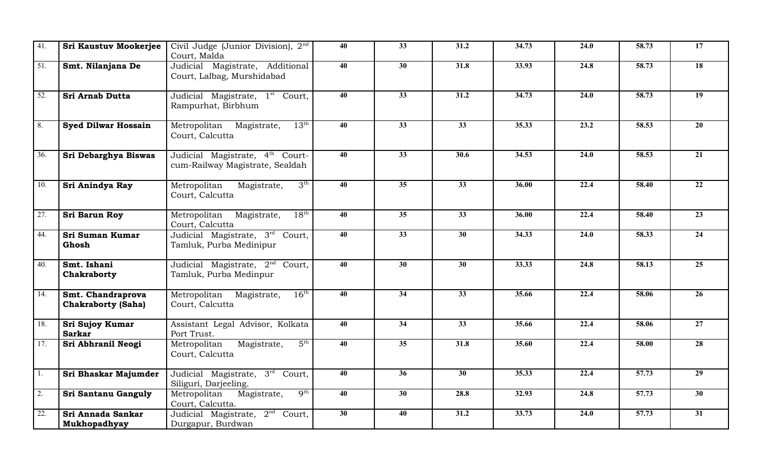| 41.              | <b>Sri Kaustuv Mookerjee</b>                   | Civil Judge (Junior Division), 2nd                                             | 40 | 33              | 31.2              | 34.73 | 24.0 | 58.73 | 17              |
|------------------|------------------------------------------------|--------------------------------------------------------------------------------|----|-----------------|-------------------|-------|------|-------|-----------------|
| 51.              | Smt. Nilanjana De                              | Court, Malda<br>Judicial Magistrate, Additional                                | 40 | 30              | 31.8              | 33.93 | 24.8 | 58.73 | 18              |
|                  |                                                | Court, Lalbag, Murshidabad                                                     |    |                 |                   |       |      |       |                 |
| 52.              | Sri Arnab Dutta                                | Judicial Magistrate, 1 <sup>st</sup> Court,<br>Rampurhat, Birbhum              | 40 | $\overline{33}$ | 31.2              | 34.73 | 24.0 | 58.73 | 19              |
| 8.               | <b>Syed Dilwar Hossain</b>                     | $13^{\rm th}$<br>Metropolitan Magistrate,<br>Court, Calcutta                   | 40 | 33              | 33                | 35.33 | 23.2 | 58.53 | 20              |
| 36.              | Sri Debarghya Biswas                           | Judicial Magistrate, 4 <sup>th</sup> Court-<br>cum-Railway Magistrate, Sealdah | 40 | $\overline{33}$ | $\overline{30.6}$ | 34.53 | 24.0 | 58.53 | $\overline{21}$ |
| 10.              | Sri Anindya Ray                                | 3 <sup>th</sup><br>Metropolitan<br>Magistrate,<br>Court, Calcutta              | 40 | 35              | 33                | 36.00 | 22.4 | 58.40 | 22              |
| 27.              | Sri Barun Roy                                  | $18^{\text{th}}$<br>Metropolitan Magistrate,<br>Court, Calcutta                | 40 | $\overline{35}$ | $\overline{33}$   | 36.00 | 22.4 | 58.40 | $\overline{23}$ |
| 44.              | Sri Suman Kumar<br>Ghosh                       | Judicial Magistrate, 3rd Court,<br>Tamluk, Purba Medinipur                     | 40 | 33              | 30                | 34.33 | 24.0 | 58.33 | 24              |
| 40.              | Smt. Ishani<br>Chakraborty                     | Judicial Magistrate, 2 <sup>nd</sup> Court,<br>Tamluk, Purba Medinpur          | 40 | 30              | 30                | 33.33 | 24.8 | 58.13 | 25              |
| 14.              | Smt. Chandraprova<br><b>Chakraborty (Saha)</b> | $16^{\text{th}}$<br>Metropolitan Magistrate,<br>Court, Calcutta                | 40 | 34              | 33                | 35.66 | 22.4 | 58.06 | 26              |
| 18.              | Sri Sujoy Kumar<br><b>Sarkar</b>               | Assistant Legal Advisor, Kolkata<br>Port Trust.                                | 40 | 34              | 33                | 35.66 | 22.4 | 58.06 | 27              |
| 17.              | Sri Abhranil Neogi                             | 5 <sup>th</sup><br>Metropolitan<br>Magistrate,<br>Court, Calcutta              | 40 | $\overline{35}$ | 31.8              | 35.60 | 22.4 | 58.00 | 28              |
| 1.               | Sri Bhaskar Majumder                           | Judicial Magistrate, 3rd Court,<br>Siliguri, Darjeeling.                       | 40 | 36              | 30                | 35.33 | 22.4 | 57.73 | $\overline{29}$ |
| $\overline{2}$ . | Sri Santanu Ganguly                            | q <sup>th</sup><br>Metropolitan Magistrate,<br>Court, Calcutta.                | 40 | $\overline{30}$ | 28.8              | 32.93 | 24.8 | 57.73 | $\overline{30}$ |
| 22.              | Sri Annada Sankar<br>Mukhopadhyay              | Judicial Magistrate, 2 <sup>nd</sup> Court,<br>Durgapur, Burdwan               | 30 | 40              | 31.2              | 33.73 | 24.0 | 57.73 | $\overline{31}$ |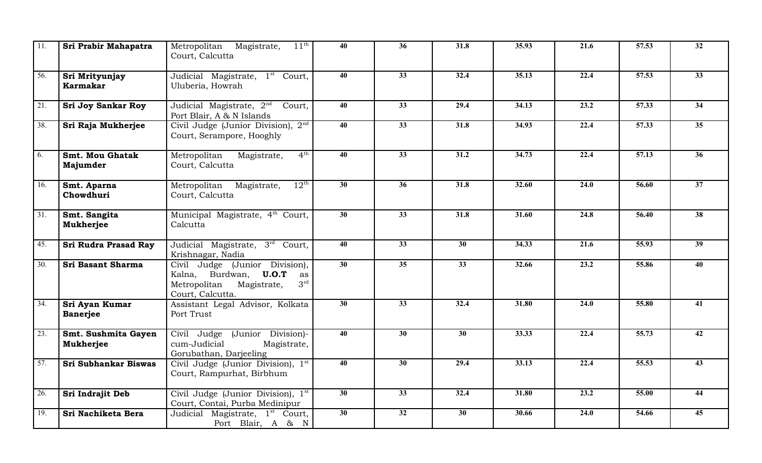| 11.               | Sri Prabir Mahapatra               | Metropolitan Magistrate,<br>$11^{\rm th}$<br>Court, Calcutta                                                                         | 40              | 36              | 31.8              | 35.93 | 21.6              | 57.53              | 32              |
|-------------------|------------------------------------|--------------------------------------------------------------------------------------------------------------------------------------|-----------------|-----------------|-------------------|-------|-------------------|--------------------|-----------------|
| $\overline{56}$ . | Sri Mrityunjay<br><b>Karmakar</b>  | Judicial Magistrate, 1 <sup>st</sup> Court,<br>Uluberia, Howrah                                                                      | $\overline{40}$ | $\overline{33}$ | 32.4              | 35.13 | 22.4              | 57.53              | $\overline{33}$ |
| $\overline{21}$ . | <b>Sri Joy Sankar Roy</b>          | Judicial Magistrate, 2 <sup>nd</sup><br>Court,<br>Port Blair, A & N Islands                                                          | $\overline{40}$ | $\overline{33}$ | 29.4              | 34.13 | 23.2              | 57.33              | $\overline{34}$ |
| 38.               | Sri Raja Mukherjee                 | Civil Judge (Junior Division), 2 <sup>nd</sup><br>Court, Serampore, Hooghly                                                          | 40              | 33              | 31.8              | 34.93 | 22.4              | 57.33              | 35 <sup>5</sup> |
| 6.                | <b>Smt. Mou Ghatak</b><br>Majumder | 4 <sup>th</sup><br>Metropolitan<br>Magistrate,<br>Court, Calcutta                                                                    | $\overline{40}$ | $\overline{33}$ | $\overline{31.2}$ | 34.73 | $\overline{22.4}$ | $\overline{57.13}$ | $\overline{36}$ |
| 16.               | Smt. Aparna<br>Chowdhuri           | $12^{\text{th}}$<br>Metropolitan Magistrate,<br>Court, Calcutta                                                                      | 30              | 36              | 31.8              | 32.60 | 24.0              | 56.60              | 37              |
| $\overline{31}$ . | Smt. Sangita<br><b>Mukherjee</b>   | Municipal Magistrate, 4 <sup>th</sup> Court,<br>Calcutta                                                                             | $\overline{30}$ | $\overline{33}$ | 31.8              | 31.60 | 24.8              | 56.40              | $\overline{38}$ |
| 45.               | Sri Rudra Prasad Ray               | Judicial Magistrate, 3rd Court,<br>Krishnagar, Nadia                                                                                 | $\overline{40}$ | $\overline{33}$ | $\overline{30}$   | 34.33 | 21.6              | 55.93              | $\overline{39}$ |
| 30.               | Sri Basant Sharma                  | Civil Judge (Junior Division),<br>Kalna, Burdwan, <b>U.O.T</b> as<br>3 <sup>rd</sup><br>Metropolitan Magistrate,<br>Court, Calcutta. | 30              | 35              | 33                | 32.66 | 23.2              | 55.86              | 40              |
| $\overline{34}$ . | Sri Ayan Kumar<br><b>Banerjee</b>  | Assistant Legal Advisor, Kolkata<br>Port Trust                                                                                       | $\overline{30}$ | $\overline{33}$ | 32.4              | 31.80 | $\overline{24.0}$ | 55.80              | $\overline{41}$ |
| 23.               | Smt. Sushmita Gayen<br>Mukherjee   | Civil Judge (Junior Division)-<br>cum-Judicial<br>Magistrate,<br>Gorubathan, Darjeeling                                              | $\overline{40}$ | $\overline{30}$ | $\overline{30}$   | 33.33 | 22.4              | 55.73              | $\overline{42}$ |
| 57.               | Sri Subhankar Biswas               | Civil Judge (Junior Division), 1st<br>Court, Rampurhat, Birbhum                                                                      | 40              | 30              | 29.4              | 33.13 | 22.4              | 55.53              | 43              |
| 26.               | Sri Indrajit Deb                   | Civil Judge (Junior Division), 1st<br>Court, Contai, Purba Medinipur                                                                 | 30              | 33              | 32.4              | 31.80 | 23.2              | 55.00              | 44              |
| 19.               | Sri Nachiketa Bera                 | Judicial Magistrate, 1 <sup>st</sup> Court,<br>Port Blair, A & N                                                                     | $\overline{30}$ | $\overline{32}$ | $\overline{30}$   | 30.66 | 24.0              | 54.66              | $\overline{45}$ |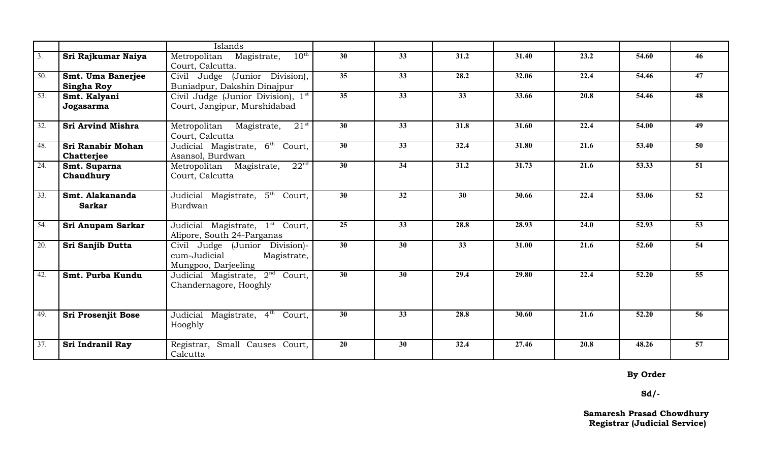|                   |                                        | Islands                                                                              |                 |                 |                   |       |      |       |                 |
|-------------------|----------------------------------------|--------------------------------------------------------------------------------------|-----------------|-----------------|-------------------|-------|------|-------|-----------------|
| 3.                | Sri Rajkumar Naiya                     | $10^{\text{th}}$<br>Metropolitan Magistrate,<br>Court, Calcutta.                     | 30              | 33              | 31.2              | 31.40 | 23.2 | 54.60 | 46              |
| 50.               | Smt. Uma Banerjee<br><b>Singha Roy</b> | Civil Judge (Junior Division),<br>Buniadpur, Dakshin Dinajpur                        | 35              | 33              | 28.2              | 32.06 | 22.4 | 54.46 | 47              |
| 53.               | Smt. Kalyani<br>Jogasarma              | Civil Judge (Junior Division), 1st<br>Court, Jangipur, Murshidabad                   | $\overline{35}$ | $\overline{33}$ | $\overline{33}$   | 33.66 | 20.8 | 54.46 | 48              |
| $\overline{32}$ . | <b>Sri Arvind Mishra</b>               | $21^{st}$<br>Metropolitan<br>Magistrate,<br>Court, Calcutta                          | $\overline{30}$ | $\overline{33}$ | 31.8              | 31.60 | 22.4 | 54.00 | 49              |
| 48.               | <b>Sri Ranabir Mohan</b><br>Chatterjee | Judicial Magistrate, 6 <sup>th</sup><br>Court,<br>Asansol, Burdwan                   | $\overline{30}$ | $\overline{33}$ | 32.4              | 31.80 | 21.6 | 53.40 | 50              |
| 24.               | Smt. Suparna<br>Chaudhury              | 22 <sup>nd</sup><br>Metropolitan Magistrate,<br>Court, Calcutta                      | 30              | 34              | 31.2              | 31.73 | 21.6 | 53.33 | 51              |
| $\overline{33}$ . | Smt. Alakananda<br><b>Sarkar</b>       | Judicial Magistrate, 5 <sup>th</sup> Court,<br>Burdwan                               | 30              | 32              | 30                | 30.66 | 22.4 | 53.06 | 52              |
| 54.               | Sri Anupam Sarkar                      | Judicial Magistrate, 1 <sup>st</sup> Court,<br>Alipore, South 24-Parganas            | 25              | 33              | 28.8              | 28.93 | 24.0 | 52.93 | 53              |
| $\overline{20}$ . | Sri Sanjib Dutta                       | Civil Judge (Junior Division)-<br>cum-Judicial<br>Magistrate,<br>Mungpoo, Darjeeling | $\overline{30}$ | $\overline{30}$ | 33                | 31.00 | 21.6 | 52.60 | $\overline{54}$ |
| 42.               | Smt. Purba Kundu                       | Judicial Magistrate, 2nd<br>Court,<br>Chandernagore, Hooghly                         | $\overline{30}$ | $\overline{30}$ | $\overline{29.4}$ | 29.80 | 22.4 | 52.20 | $\overline{55}$ |
| 49.               | <b>Sri Prosenjit Bose</b>              | Magistrate, 4 <sup>th</sup> Court,<br>Judicial<br>Hooghly                            | $\overline{30}$ | 33              | 28.8              | 30.60 | 21.6 | 52.20 | 56              |
| $\overline{37}$ . | Sri Indranil Ray                       | Registrar, Small Causes Court,<br>Calcutta                                           | 20              | 30 <sup>°</sup> | 32.4              | 27.46 | 20.8 | 48.26 | 57              |

 **By Order**

 **Sd/-**

 **Samaresh Prasad Chowdhury Registrar (Judicial Service)**